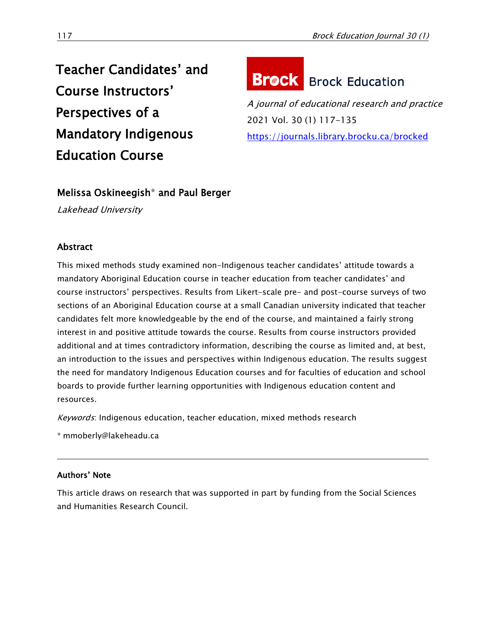# Teacher Candidates' and Course Instructors' Perspectives of a Mandatory Indigenous Education Course

# **Brock** Brock Education

A journal of educational research and practice 2021 Vol. 30 (1) 117-135 <https://journals.library.brocku.ca/brocked>

## Melissa Oskineegish\* and Paul Berger

Lakehead University

### Abstract

This mixed methods study examined non-Indigenous teacher candidates' attitude towards a mandatory Aboriginal Education course in teacher education from teacher candidates' and course instructors' perspectives. Results from Likert-scale pre- and post-course surveys of two sections of an Aboriginal Education course at a small Canadian university indicated that teacher candidates felt more knowledgeable by the end of the course, and maintained a fairly strong interest in and positive attitude towards the course. Results from course instructors provided additional and at times contradictory information, describing the course as limited and, at best, an introduction to the issues and perspectives within Indigenous education. The results suggest the need for mandatory Indigenous Education courses and for faculties of education and school boards to provide further learning opportunities with Indigenous education content and resources.

Keywords: Indigenous education, teacher education, mixed methods research

\* [mmoberly@lakeheadu.ca](mailto:mmoberly@lakeheadu.ca)

#### Authors' Note

This article draws on research that was supported in part by funding from the Social Sciences and Humanities Research Council.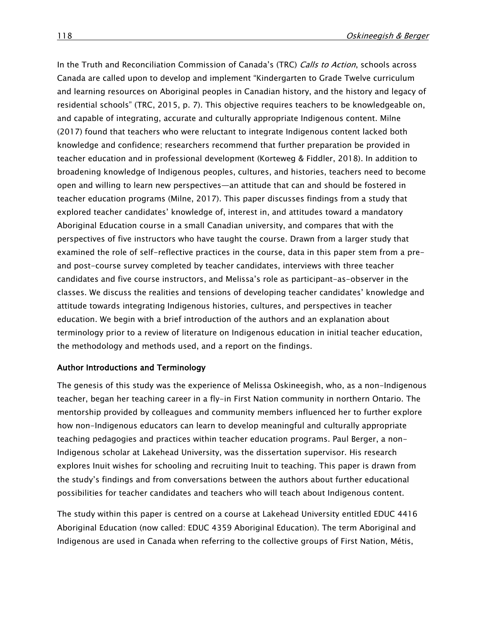In the Truth and Reconciliation Commission of Canada's (TRC) Calls to Action, schools across Canada are called upon to develop and implement "Kindergarten to Grade Twelve curriculum and learning resources on Aboriginal peoples in Canadian history, and the history and legacy of residential schools" (TRC, 2015, p. 7). This objective requires teachers to be knowledgeable on, and capable of integrating, accurate and culturally appropriate Indigenous content. Milne (2017) found that teachers who were reluctant to integrate Indigenous content lacked both knowledge and confidence; researchers recommend that further preparation be provided in teacher education and in professional development (Korteweg & Fiddler, 2018). In addition to broadening knowledge of Indigenous peoples, cultures, and histories, teachers need to become open and willing to learn new perspectives—an attitude that can and should be fostered in teacher education programs (Milne, 2017). This paper discusses findings from a study that explored teacher candidates' knowledge of, interest in, and attitudes toward a mandatory Aboriginal Education course in a small Canadian university, and compares that with the perspectives of five instructors who have taught the course. Drawn from a larger study that examined the role of self-reflective practices in the course, data in this paper stem from a preand post-course survey completed by teacher candidates, interviews with three teacher candidates and five course instructors, and Melissa's role as participant-as-observer in the classes. We discuss the realities and tensions of developing teacher candidates' knowledge and attitude towards integrating Indigenous histories, cultures, and perspectives in teacher education. We begin with a brief introduction of the authors and an explanation about terminology prior to a review of literature on Indigenous education in initial teacher education, the methodology and methods used, and a report on the findings.

#### Author Introductions and Terminology

The genesis of this study was the experience of Melissa Oskineegish, who, as a non-Indigenous teacher, began her teaching career in a fly-in First Nation community in northern Ontario. The mentorship provided by colleagues and community members influenced her to further explore how non-Indigenous educators can learn to develop meaningful and culturally appropriate teaching pedagogies and practices within teacher education programs. Paul Berger, a non-Indigenous scholar at Lakehead University, was the dissertation supervisor. His research explores Inuit wishes for schooling and recruiting Inuit to teaching. This paper is drawn from the study's findings and from conversations between the authors about further educational possibilities for teacher candidates and teachers who will teach about Indigenous content.

The study within this paper is centred on a course at Lakehead University entitled EDUC 4416 Aboriginal Education (now called: EDUC 4359 Aboriginal Education). The term Aboriginal and Indigenous are used in Canada when referring to the collective groups of First Nation, Métis,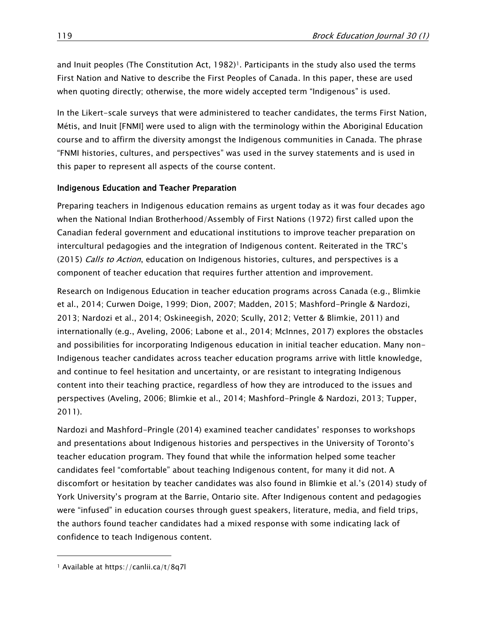and Inuit peoples (The Constitution Act, 1982)<sup>1</sup>. Participants in the study also used the terms First Nation and Native to describe the First Peoples of Canada. In this paper, these are used when quoting directly; otherwise, the more widely accepted term "Indigenous" is used.

In the Likert-scale surveys that were administered to teacher candidates, the terms First Nation, Métis, and Inuit [FNMI] were used to align with the terminology within the Aboriginal Education course and to affirm the diversity amongst the Indigenous communities in Canada. The phrase "FNMI histories, cultures, and perspectives" was used in the survey statements and is used in this paper to represent all aspects of the course content.

#### Indigenous Education and Teacher Preparation

Preparing teachers in Indigenous education remains as urgent today as it was four decades ago when the National Indian Brotherhood/Assembly of First Nations (1972) first called upon the Canadian federal government and educational institutions to improve teacher preparation on intercultural pedagogies and the integration of Indigenous content. Reiterated in the TRC's (2015) *Calls to Action*, education on Indigenous histories, cultures, and perspectives is a component of teacher education that requires further attention and improvement.

Research on Indigenous Education in teacher education programs across Canada (e.g., Blimkie et al., 2014; Curwen Doige, 1999; Dion, 2007; Madden, 2015; Mashford-Pringle & Nardozi, 2013; Nardozi et al., 2014; Oskineegish, 2020; Scully, 2012; Vetter & Blimkie, 2011) and internationally (e.g., Aveling, 2006; Labone et al., 2014; McInnes, 2017) explores the obstacles and possibilities for incorporating Indigenous education in initial teacher education. Many non-Indigenous teacher candidates across teacher education programs arrive with little knowledge, and continue to feel hesitation and uncertainty, or are resistant to integrating Indigenous content into their teaching practice, regardless of how they are introduced to the issues and perspectives (Aveling, 2006; Blimkie et al., 2014; Mashford-Pringle & Nardozi, 2013; Tupper, 2011).

Nardozi and Mashford-Pringle (2014) examined teacher candidates' responses to workshops and presentations about Indigenous histories and perspectives in the University of Toronto's teacher education program. They found that while the information helped some teacher candidates feel "comfortable" about teaching Indigenous content, for many it did not. A discomfort or hesitation by teacher candidates was also found in Blimkie et al.'s (2014) study of York University's program at the Barrie, Ontario site. After Indigenous content and pedagogies were "infused" in education courses through guest speakers, literature, media, and field trips, the authors found teacher candidates had a mixed response with some indicating lack of confidence to teach Indigenous content.

 $\overline{\phantom{a}}$ 

<sup>1</sup> Available at<https://canlii.ca/t/8q7l>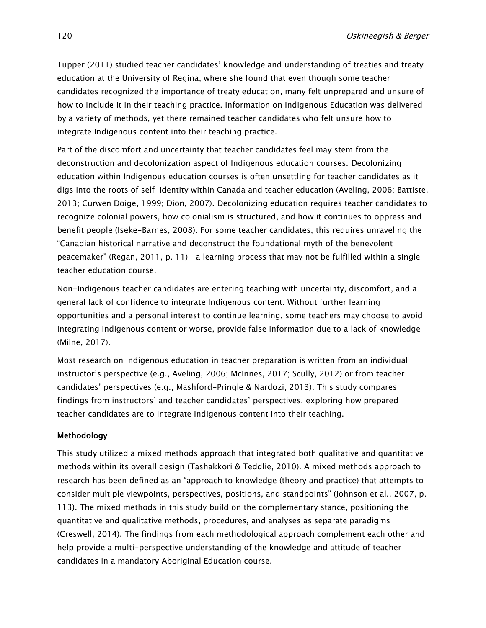Tupper (2011) studied teacher candidates' knowledge and understanding of treaties and treaty education at the University of Regina, where she found that even though some teacher candidates recognized the importance of treaty education, many felt unprepared and unsure of how to include it in their teaching practice. Information on Indigenous Education was delivered by a variety of methods, yet there remained teacher candidates who felt unsure how to integrate Indigenous content into their teaching practice.

Part of the discomfort and uncertainty that teacher candidates feel may stem from the deconstruction and decolonization aspect of Indigenous education courses. Decolonizing education within Indigenous education courses is often unsettling for teacher candidates as it digs into the roots of self-identity within Canada and teacher education (Aveling, 2006; Battiste, 2013; Curwen Doige, 1999; Dion, 2007). Decolonizing education requires teacher candidates to recognize colonial powers, how colonialism is structured, and how it continues to oppress and benefit people (Iseke-Barnes, 2008). For some teacher candidates, this requires unraveling the "Canadian historical narrative and deconstruct the foundational myth of the benevolent peacemaker" (Regan, 2011, p. 11)—a learning process that may not be fulfilled within a single teacher education course.

Non-Indigenous teacher candidates are entering teaching with uncertainty, discomfort, and a general lack of confidence to integrate Indigenous content. Without further learning opportunities and a personal interest to continue learning, some teachers may choose to avoid integrating Indigenous content or worse, provide false information due to a lack of knowledge (Milne, 2017).

Most research on Indigenous education in teacher preparation is written from an individual instructor's perspective (e.g., Aveling, 2006; McInnes, 2017; Scully, 2012) or from teacher candidates' perspectives (e.g., Mashford-Pringle & Nardozi, 2013). This study compares findings from instructors' and teacher candidates' perspectives, exploring how prepared teacher candidates are to integrate Indigenous content into their teaching.

#### Methodology

This study utilized a mixed methods approach that integrated both qualitative and quantitative methods within its overall design (Tashakkori & Teddlie, 2010). A mixed methods approach to research has been defined as an "approach to knowledge (theory and practice) that attempts to consider multiple viewpoints, perspectives, positions, and standpoints" (Johnson et al., 2007, p. 113). The mixed methods in this study build on the complementary stance, positioning the quantitative and qualitative methods, procedures, and analyses as separate paradigms (Creswell, 2014). The findings from each methodological approach complement each other and help provide a multi-perspective understanding of the knowledge and attitude of teacher candidates in a mandatory Aboriginal Education course.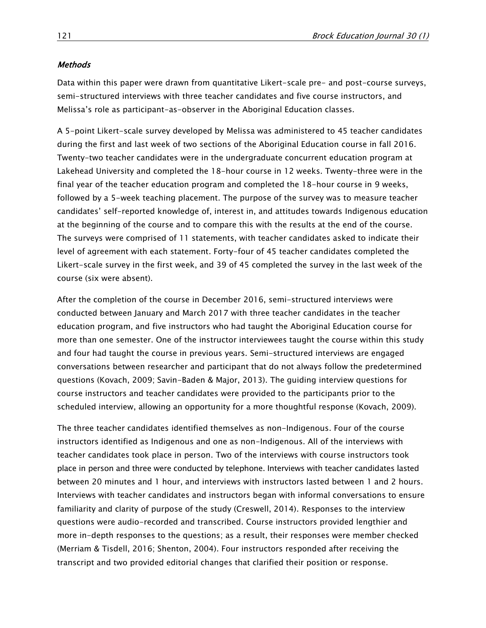#### **Methods**

Data within this paper were drawn from quantitative Likert-scale pre- and post-course surveys, semi-structured interviews with three teacher candidates and five course instructors, and Melissa's role as participant-as-observer in the Aboriginal Education classes.

A 5-point Likert-scale survey developed by Melissa was administered to 45 teacher candidates during the first and last week of two sections of the Aboriginal Education course in fall 2016. Twenty-two teacher candidates were in the undergraduate concurrent education program at Lakehead University and completed the 18-hour course in 12 weeks. Twenty-three were in the final year of the teacher education program and completed the 18-hour course in 9 weeks, followed by a 5-week teaching placement. The purpose of the survey was to measure teacher candidates' self-reported knowledge of, interest in, and attitudes towards Indigenous education at the beginning of the course and to compare this with the results at the end of the course. The surveys were comprised of 11 statements, with teacher candidates asked to indicate their level of agreement with each statement. Forty-four of 45 teacher candidates completed the Likert-scale survey in the first week, and 39 of 45 completed the survey in the last week of the course (six were absent).

After the completion of the course in December 2016, semi-structured interviews were conducted between January and March 2017 with three teacher candidates in the teacher education program, and five instructors who had taught the Aboriginal Education course for more than one semester. One of the instructor interviewees taught the course within this study and four had taught the course in previous years. Semi-structured interviews are engaged conversations between researcher and participant that do not always follow the predetermined questions (Kovach, 2009; Savin-Baden & Major, 2013). The guiding interview questions for course instructors and teacher candidates were provided to the participants prior to the scheduled interview, allowing an opportunity for a more thoughtful response (Kovach, 2009).

The three teacher candidates identified themselves as non-Indigenous. Four of the course instructors identified as Indigenous and one as non-Indigenous. All of the interviews with teacher candidates took place in person. Two of the interviews with course instructors took place in person and three were conducted by telephone. Interviews with teacher candidates lasted between 20 minutes and 1 hour, and interviews with instructors lasted between 1 and 2 hours. Interviews with teacher candidates and instructors began with informal conversations to ensure familiarity and clarity of purpose of the study (Creswell, 2014). Responses to the interview questions were audio-recorded and transcribed. Course instructors provided lengthier and more in-depth responses to the questions; as a result, their responses were member checked (Merriam & Tisdell, 2016; Shenton, 2004). Four instructors responded after receiving the transcript and two provided editorial changes that clarified their position or response.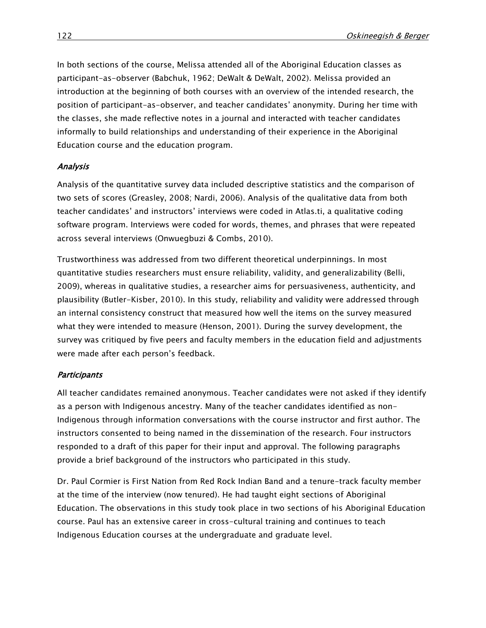In both sections of the course, Melissa attended all of the Aboriginal Education classes as participant-as-observer (Babchuk, 1962; DeWalt & DeWalt, 2002). Melissa provided an introduction at the beginning of both courses with an overview of the intended research, the position of participant-as-observer, and teacher candidates' anonymity. During her time with the classes, she made reflective notes in a journal and interacted with teacher candidates informally to build relationships and understanding of their experience in the Aboriginal Education course and the education program.

#### Analysis

Analysis of the quantitative survey data included descriptive statistics and the comparison of two sets of scores (Greasley, 2008; Nardi, 2006). Analysis of the qualitative data from both teacher candidates' and instructors' interviews were coded in Atlas.ti, a qualitative coding software program. Interviews were coded for words, themes, and phrases that were repeated across several interviews (Onwuegbuzi & Combs, 2010).

Trustworthiness was addressed from two different theoretical underpinnings. In most quantitative studies researchers must ensure reliability, validity, and generalizability (Belli, 2009), whereas in qualitative studies, a researcher aims for persuasiveness, authenticity, and plausibility (Butler-Kisber, 2010). In this study, reliability and validity were addressed through an internal consistency construct that measured how well the items on the survey measured what they were intended to measure (Henson, 2001). During the survey development, the survey was critiqued by five peers and faculty members in the education field and adjustments were made after each person's feedback.

#### **Participants**

All teacher candidates remained anonymous. Teacher candidates were not asked if they identify as a person with Indigenous ancestry. Many of the teacher candidates identified as non-Indigenous through information conversations with the course instructor and first author. The instructors consented to being named in the dissemination of the research. Four instructors responded to a draft of this paper for their input and approval. The following paragraphs provide a brief background of the instructors who participated in this study.

Dr. Paul Cormier is First Nation from Red Rock Indian Band and a tenure-track faculty member at the time of the interview (now tenured). He had taught eight sections of Aboriginal Education. The observations in this study took place in two sections of his Aboriginal Education course. Paul has an extensive career in cross-cultural training and continues to teach Indigenous Education courses at the undergraduate and graduate level.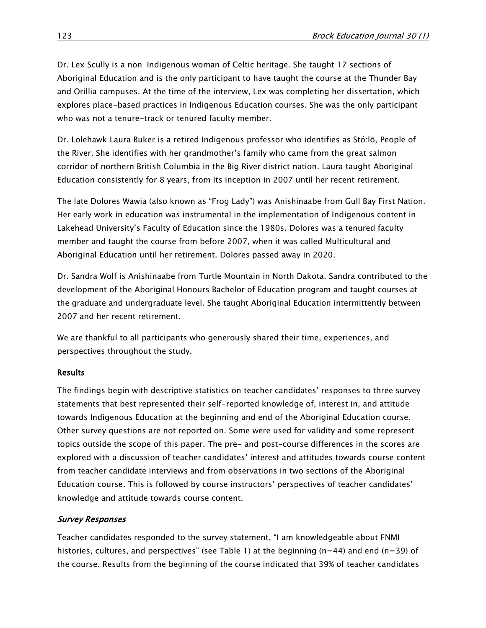Dr. Lex Scully is a non-Indigenous woman of Celtic heritage. She taught 17 sections of Aboriginal Education and is the only participant to have taught the course at the Thunder Bay and Orillia campuses. At the time of the interview, Lex was completing her dissertation, which explores place-based practices in Indigenous Education courses. She was the only participant who was not a tenure-track or tenured faculty member.

Dr. Lolehawk Laura Buker is a retired Indigenous professor who identifies as Stó:lō, People of the River. She identifies with her grandmother's family who came from the great salmon corridor of northern British Columbia in the Big River district nation. Laura taught Aboriginal Education consistently for 8 years, from its inception in 2007 until her recent retirement.

The late Dolores Wawia (also known as "Frog Lady") was Anishinaabe from Gull Bay First Nation. Her early work in education was instrumental in the implementation of Indigenous content in Lakehead University's Faculty of Education since the 1980s. Dolores was a tenured faculty member and taught the course from before 2007, when it was called Multicultural and Aboriginal Education until her retirement. Dolores passed away in 2020.

Dr. Sandra Wolf is Anishinaabe from Turtle Mountain in North Dakota. Sandra contributed to the development of the Aboriginal Honours Bachelor of Education program and taught courses at the graduate and undergraduate level. She taught Aboriginal Education intermittently between 2007 and her recent retirement.

We are thankful to all participants who generously shared their time, experiences, and perspectives throughout the study.

#### Results

The findings begin with descriptive statistics on teacher candidates' responses to three survey statements that best represented their self-reported knowledge of, interest in, and attitude towards Indigenous Education at the beginning and end of the Aboriginal Education course. Other survey questions are not reported on. Some were used for validity and some represent topics outside the scope of this paper. The pre- and post-course differences in the scores are explored with a discussion of teacher candidates' interest and attitudes towards course content from teacher candidate interviews and from observations in two sections of the Aboriginal Education course. This is followed by course instructors' perspectives of teacher candidates' knowledge and attitude towards course content.

#### Survey Responses

Teacher candidates responded to the survey statement, "I am knowledgeable about FNMI histories, cultures, and perspectives" (see Table 1) at the beginning ( $n=44$ ) and end ( $n=39$ ) of the course. Results from the beginning of the course indicated that 39% of teacher candidates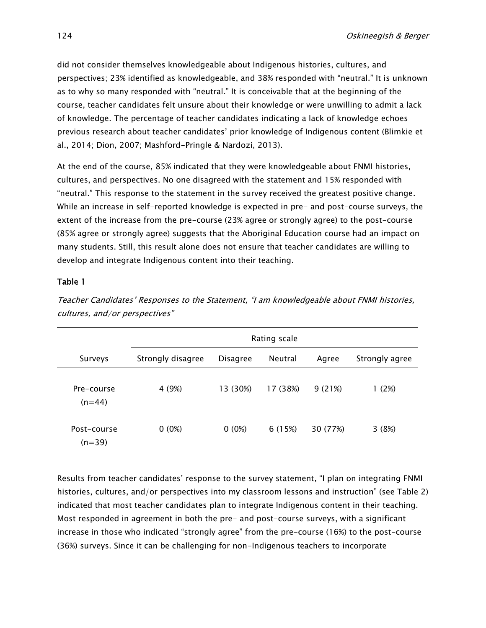did not consider themselves knowledgeable about Indigenous histories, cultures, and perspectives; 23% identified as knowledgeable, and 38% responded with "neutral." It is unknown as to why so many responded with "neutral." It is conceivable that at the beginning of the course, teacher candidates felt unsure about their knowledge or were unwilling to admit a lack of knowledge. The percentage of teacher candidates indicating a lack of knowledge echoes previous research about teacher candidates' prior knowledge of Indigenous content (Blimkie et al., 2014; Dion, 2007; Mashford-Pringle & Nardozi, 2013).

At the end of the course, 85% indicated that they were knowledgeable about FNMI histories, cultures, and perspectives. No one disagreed with the statement and 15% responded with "neutral." This response to the statement in the survey received the greatest positive change. While an increase in self-reported knowledge is expected in pre- and post-course surveys, the extent of the increase from the pre-course (23% agree or strongly agree) to the post-course (85% agree or strongly agree) suggests that the Aboriginal Education course had an impact on many students. Still, this result alone does not ensure that teacher candidates are willing to develop and integrate Indigenous content into their teaching.

#### Table 1

|                         | Rating scale      |                 |          |          |                |  |  |
|-------------------------|-------------------|-----------------|----------|----------|----------------|--|--|
| Surveys                 | Strongly disagree | <b>Disagree</b> | Neutral  | Agree    | Strongly agree |  |  |
| Pre-course<br>$(n=44)$  | 4 (9%)            | 13 (30%)        | 17 (38%) | 9(21%)   | 1 (2%)         |  |  |
| Post-course<br>$(n=39)$ | $0(0\%)$          | $0(0\%)$        | 6 (15%)  | 30 (77%) | 3(8%)          |  |  |

Teacher Candidates' Responses to the Statement, "I am knowledgeable about FNMI histories, cultures, and/or perspectives"

Results from teacher candidates' response to the survey statement, "I plan on integrating FNMI histories, cultures, and/or perspectives into my classroom lessons and instruction" (see Table 2) indicated that most teacher candidates plan to integrate Indigenous content in their teaching. Most responded in agreement in both the pre- and post-course surveys, with a significant increase in those who indicated "strongly agree" from the pre-course (16%) to the post-course (36%) surveys. Since it can be challenging for non-Indigenous teachers to incorporate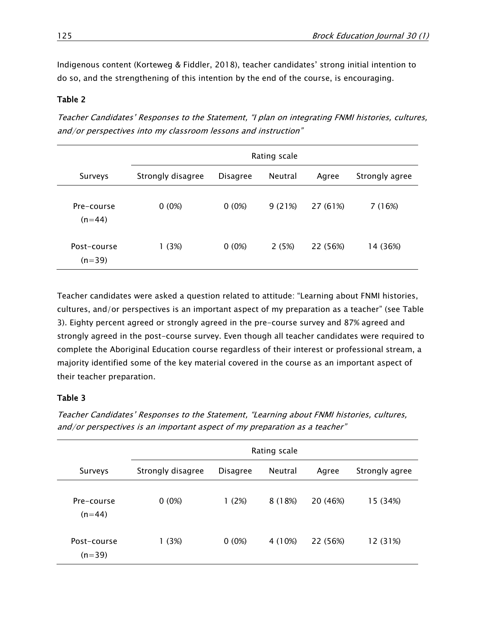Indigenous content (Korteweg & Fiddler, 2018), teacher candidates' strong initial intention to do so, and the strengthening of this intention by the end of the course, is encouraging.

#### Table 2

Teacher Candidates' Responses to the Statement, "I plan on integrating FNMI histories, cultures, and/or perspectives into my classroom lessons and instruction"

|                         | Rating scale      |                 |         |          |                |  |  |
|-------------------------|-------------------|-----------------|---------|----------|----------------|--|--|
| Surveys                 | Strongly disagree | <b>Disagree</b> | Neutral | Agree    | Strongly agree |  |  |
| Pre-course<br>$(n=44)$  | $0(0\%)$          | $0(0\%)$        | 9(21%)  | 27 (61%) | 7 (16%)        |  |  |
| Post-course<br>$(n=39)$ | 1 (3%)            | $0(0\%)$        | 2(5%)   | 22 (56%) | 14 (36%)       |  |  |

Teacher candidates were asked a question related to attitude: "Learning about FNMI histories, cultures, and/or perspectives is an important aspect of my preparation as a teacher" (see Table 3). Eighty percent agreed or strongly agreed in the pre-course survey and 87% agreed and strongly agreed in the post-course survey. Even though all teacher candidates were required to complete the Aboriginal Education course regardless of their interest or professional stream, a majority identified some of the key material covered in the course as an important aspect of their teacher preparation.

#### Table 3

|                         | Rating scale      |                 |         |          |                |  |  |
|-------------------------|-------------------|-----------------|---------|----------|----------------|--|--|
| Surveys                 | Strongly disagree | <b>Disagree</b> | Neutral | Agree    | Strongly agree |  |  |
| Pre-course<br>$(n=44)$  | $0(0\%)$          | 1(2%)           | 8 (18%) | 20 (46%) | 15 (34%)       |  |  |
| Post-course<br>$(n=39)$ | 1(3%)             | $0(0\%)$        | 4 (10%) | 22 (56%) | 12 (31%)       |  |  |

Teacher Candidates' Responses to the Statement, "Learning about FNMI histories, cultures, and/or perspectives is an important aspect of my preparation as a teacher"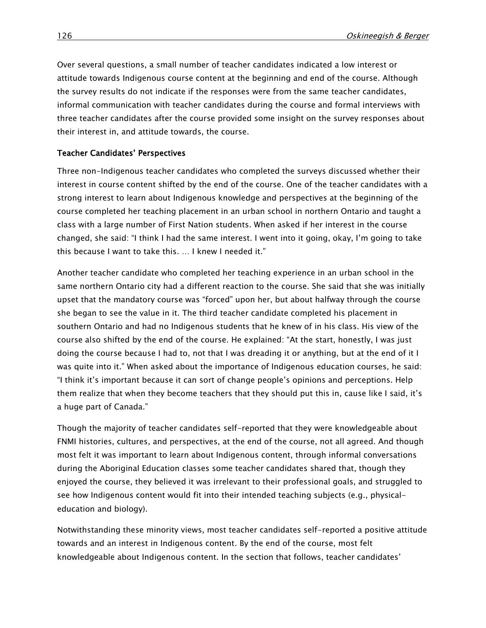Over several questions, a small number of teacher candidates indicated a low interest or attitude towards Indigenous course content at the beginning and end of the course. Although the survey results do not indicate if the responses were from the same teacher candidates, informal communication with teacher candidates during the course and formal interviews with three teacher candidates after the course provided some insight on the survey responses about their interest in, and attitude towards, the course.

#### Teacher Candidates' Perspectives

Three non-Indigenous teacher candidates who completed the surveys discussed whether their interest in course content shifted by the end of the course. One of the teacher candidates with a strong interest to learn about Indigenous knowledge and perspectives at the beginning of the course completed her teaching placement in an urban school in northern Ontario and taught a class with a large number of First Nation students. When asked if her interest in the course changed, she said: "I think I had the same interest. I went into it going, okay, I'm going to take this because I want to take this. … I knew I needed it."

Another teacher candidate who completed her teaching experience in an urban school in the same northern Ontario city had a different reaction to the course. She said that she was initially upset that the mandatory course was "forced" upon her, but about halfway through the course she began to see the value in it. The third teacher candidate completed his placement in southern Ontario and had no Indigenous students that he knew of in his class. His view of the course also shifted by the end of the course. He explained: "At the start, honestly, I was just doing the course because I had to, not that I was dreading it or anything, but at the end of it I was quite into it." When asked about the importance of Indigenous education courses, he said: "I think it's important because it can sort of change people's opinions and perceptions. Help them realize that when they become teachers that they should put this in, cause like I said, it's a huge part of Canada."

Though the majority of teacher candidates self-reported that they were knowledgeable about FNMI histories, cultures, and perspectives, at the end of the course, not all agreed. And though most felt it was important to learn about Indigenous content, through informal conversations during the Aboriginal Education classes some teacher candidates shared that, though they enjoyed the course, they believed it was irrelevant to their professional goals, and struggled to see how Indigenous content would fit into their intended teaching subjects (e.g., physicaleducation and biology).

Notwithstanding these minority views, most teacher candidates self-reported a positive attitude towards and an interest in Indigenous content. By the end of the course, most felt knowledgeable about Indigenous content. In the section that follows, teacher candidates'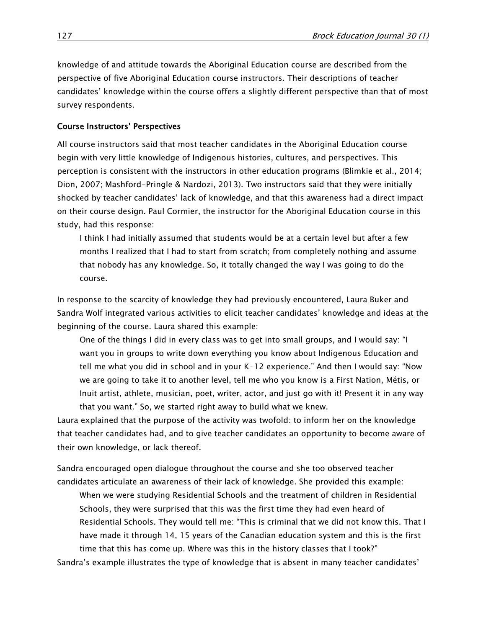knowledge of and attitude towards the Aboriginal Education course are described from the perspective of five Aboriginal Education course instructors. Their descriptions of teacher candidates' knowledge within the course offers a slightly different perspective than that of most survey respondents.

#### Course Instructors' Perspectives

All course instructors said that most teacher candidates in the Aboriginal Education course begin with very little knowledge of Indigenous histories, cultures, and perspectives. This perception is consistent with the instructors in other education programs (Blimkie et al., 2014; Dion, 2007; Mashford-Pringle & Nardozi, 2013). Two instructors said that they were initially shocked by teacher candidates' lack of knowledge, and that this awareness had a direct impact on their course design. Paul Cormier, the instructor for the Aboriginal Education course in this study, had this response:

I think I had initially assumed that students would be at a certain level but after a few months I realized that I had to start from scratch; from completely nothing and assume that nobody has any knowledge. So, it totally changed the way I was going to do the course.

In response to the scarcity of knowledge they had previously encountered, Laura Buker and Sandra Wolf integrated various activities to elicit teacher candidates' knowledge and ideas at the beginning of the course. Laura shared this example:

One of the things I did in every class was to get into small groups, and I would say: "I want you in groups to write down everything you know about Indigenous Education and tell me what you did in school and in your K-12 experience." And then I would say: "Now we are going to take it to another level, tell me who you know is a First Nation, Métis, or Inuit artist, athlete, musician, poet, writer, actor, and just go with it! Present it in any way that you want." So, we started right away to build what we knew.

Laura explained that the purpose of the activity was twofold: to inform her on the knowledge that teacher candidates had, and to give teacher candidates an opportunity to become aware of their own knowledge, or lack thereof.

Sandra encouraged open dialogue throughout the course and she too observed teacher candidates articulate an awareness of their lack of knowledge. She provided this example:

When we were studying Residential Schools and the treatment of children in Residential Schools, they were surprised that this was the first time they had even heard of Residential Schools. They would tell me: "This is criminal that we did not know this. That I have made it through 14, 15 years of the Canadian education system and this is the first time that this has come up. Where was this in the history classes that I took?"

Sandra's example illustrates the type of knowledge that is absent in many teacher candidates'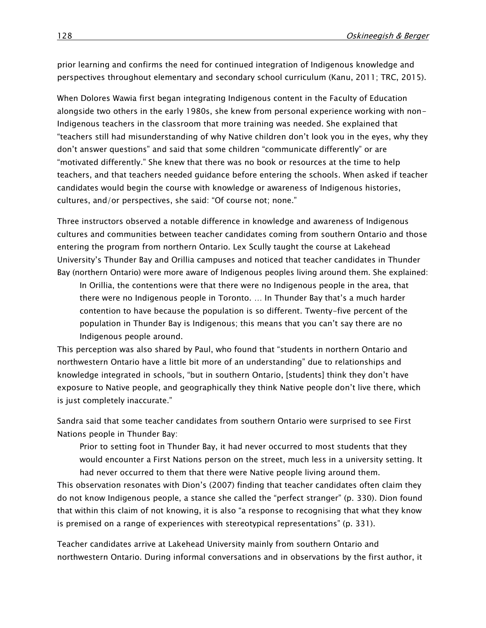prior learning and confirms the need for continued integration of Indigenous knowledge and perspectives throughout elementary and secondary school curriculum (Kanu, 2011; TRC, 2015).

When Dolores Wawia first began integrating Indigenous content in the Faculty of Education alongside two others in the early 1980s, she knew from personal experience working with non-Indigenous teachers in the classroom that more training was needed. She explained that "teachers still had misunderstanding of why Native children don't look you in the eyes, why they don't answer questions" and said that some children "communicate differently" or are "motivated differently." She knew that there was no book or resources at the time to help teachers, and that teachers needed guidance before entering the schools. When asked if teacher candidates would begin the course with knowledge or awareness of Indigenous histories, cultures, and/or perspectives, she said: "Of course not; none."

Three instructors observed a notable difference in knowledge and awareness of Indigenous cultures and communities between teacher candidates coming from southern Ontario and those entering the program from northern Ontario. Lex Scully taught the course at Lakehead University's Thunder Bay and Orillia campuses and noticed that teacher candidates in Thunder Bay (northern Ontario) were more aware of Indigenous peoples living around them. She explained:

In Orillia, the contentions were that there were no Indigenous people in the area, that there were no Indigenous people in Toronto. … In Thunder Bay that's a much harder contention to have because the population is so different. Twenty-five percent of the population in Thunder Bay is Indigenous; this means that you can't say there are no Indigenous people around.

This perception was also shared by Paul, who found that "students in northern Ontario and northwestern Ontario have a little bit more of an understanding" due to relationships and knowledge integrated in schools, "but in southern Ontario, [students] think they don't have exposure to Native people, and geographically they think Native people don't live there, which is just completely inaccurate."

Sandra said that some teacher candidates from southern Ontario were surprised to see First Nations people in Thunder Bay:

Prior to setting foot in Thunder Bay, it had never occurred to most students that they would encounter a First Nations person on the street, much less in a university setting. It had never occurred to them that there were Native people living around them.

This observation resonates with Dion's (2007) finding that teacher candidates often claim they do not know Indigenous people, a stance she called the "perfect stranger" (p. 330). Dion found that within this claim of not knowing, it is also "a response to recognising that what they know is premised on a range of experiences with stereotypical representations" (p. 331).

Teacher candidates arrive at Lakehead University mainly from southern Ontario and northwestern Ontario. During informal conversations and in observations by the first author, it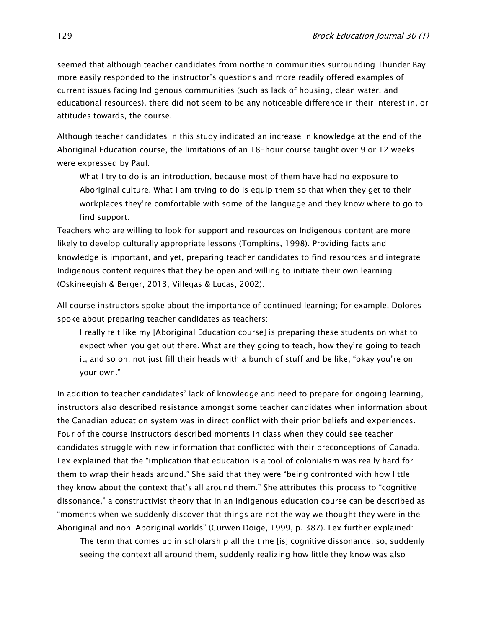seemed that although teacher candidates from northern communities surrounding Thunder Bay more easily responded to the instructor's questions and more readily offered examples of current issues facing Indigenous communities (such as lack of housing, clean water, and educational resources), there did not seem to be any noticeable difference in their interest in, or attitudes towards, the course.

Although teacher candidates in this study indicated an increase in knowledge at the end of the Aboriginal Education course, the limitations of an 18-hour course taught over 9 or 12 weeks were expressed by Paul:

What I try to do is an introduction, because most of them have had no exposure to Aboriginal culture. What I am trying to do is equip them so that when they get to their workplaces they're comfortable with some of the language and they know where to go to find support.

Teachers who are willing to look for support and resources on Indigenous content are more likely to develop culturally appropriate lessons (Tompkins, 1998). Providing facts and knowledge is important, and yet, preparing teacher candidates to find resources and integrate Indigenous content requires that they be open and willing to initiate their own learning (Oskineegish & Berger, 2013; Villegas & Lucas, 2002).

All course instructors spoke about the importance of continued learning; for example, Dolores spoke about preparing teacher candidates as teachers:

I really felt like my [Aboriginal Education course] is preparing these students on what to expect when you get out there. What are they going to teach, how they're going to teach it, and so on; not just fill their heads with a bunch of stuff and be like, "okay you're on your own."

In addition to teacher candidates' lack of knowledge and need to prepare for ongoing learning, instructors also described resistance amongst some teacher candidates when information about the Canadian education system was in direct conflict with their prior beliefs and experiences. Four of the course instructors described moments in class when they could see teacher candidates struggle with new information that conflicted with their preconceptions of Canada. Lex explained that the "implication that education is a tool of colonialism was really hard for them to wrap their heads around." She said that they were "being confronted with how little they know about the context that's all around them." She attributes this process to "cognitive dissonance," a constructivist theory that in an Indigenous education course can be described as "moments when we suddenly discover that things are not the way we thought they were in the Aboriginal and non-Aboriginal worlds" (Curwen Doige, 1999, p. 387). Lex further explained:

The term that comes up in scholarship all the time [is] cognitive dissonance; so, suddenly seeing the context all around them, suddenly realizing how little they know was also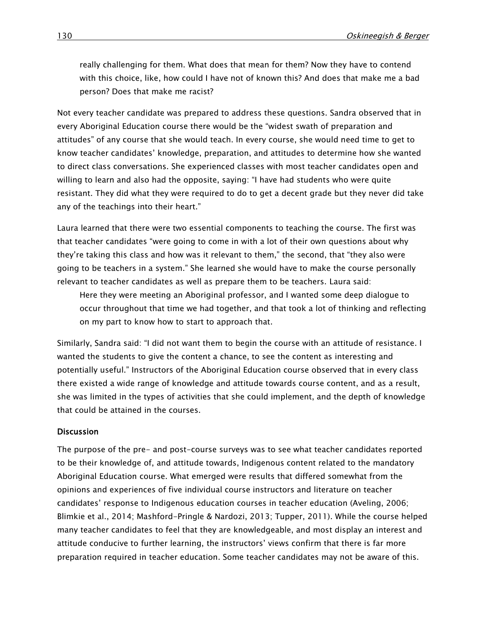really challenging for them. What does that mean for them? Now they have to contend with this choice, like, how could I have not of known this? And does that make me a bad person? Does that make me racist?

Not every teacher candidate was prepared to address these questions. Sandra observed that in every Aboriginal Education course there would be the "widest swath of preparation and attitudes" of any course that she would teach. In every course, she would need time to get to know teacher candidates' knowledge, preparation, and attitudes to determine how she wanted to direct class conversations. She experienced classes with most teacher candidates open and willing to learn and also had the opposite, saying: "I have had students who were quite resistant. They did what they were required to do to get a decent grade but they never did take any of the teachings into their heart."

Laura learned that there were two essential components to teaching the course. The first was that teacher candidates "were going to come in with a lot of their own questions about why they're taking this class and how was it relevant to them," the second, that "they also were going to be teachers in a system." She learned she would have to make the course personally relevant to teacher candidates as well as prepare them to be teachers. Laura said:

Here they were meeting an Aboriginal professor, and I wanted some deep dialogue to occur throughout that time we had together, and that took a lot of thinking and reflecting on my part to know how to start to approach that.

Similarly, Sandra said: "I did not want them to begin the course with an attitude of resistance. I wanted the students to give the content a chance, to see the content as interesting and potentially useful." Instructors of the Aboriginal Education course observed that in every class there existed a wide range of knowledge and attitude towards course content, and as a result, she was limited in the types of activities that she could implement, and the depth of knowledge that could be attained in the courses.

#### **Discussion**

The purpose of the pre- and post-course surveys was to see what teacher candidates reported to be their knowledge of, and attitude towards, Indigenous content related to the mandatory Aboriginal Education course. What emerged were results that differed somewhat from the opinions and experiences of five individual course instructors and literature on teacher candidates' response to Indigenous education courses in teacher education (Aveling, 2006; Blimkie et al., 2014; Mashford-Pringle & Nardozi, 2013; Tupper, 2011). While the course helped many teacher candidates to feel that they are knowledgeable, and most display an interest and attitude conducive to further learning, the instructors' views confirm that there is far more preparation required in teacher education. Some teacher candidates may not be aware of this.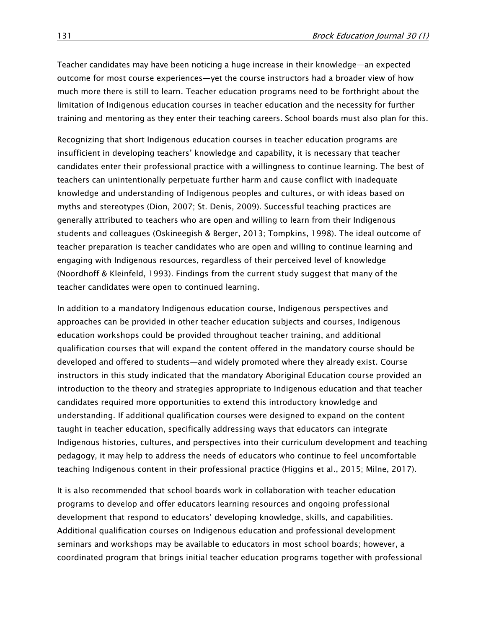Teacher candidates may have been noticing a huge increase in their knowledge—an expected outcome for most course experiences—yet the course instructors had a broader view of how much more there is still to learn. Teacher education programs need to be forthright about the limitation of Indigenous education courses in teacher education and the necessity for further training and mentoring as they enter their teaching careers. School boards must also plan for this.

Recognizing that short Indigenous education courses in teacher education programs are insufficient in developing teachers' knowledge and capability, it is necessary that teacher candidates enter their professional practice with a willingness to continue learning. The best of teachers can unintentionally perpetuate further harm and cause conflict with inadequate knowledge and understanding of Indigenous peoples and cultures, or with ideas based on myths and stereotypes (Dion, 2007; St. Denis, 2009). Successful teaching practices are generally attributed to teachers who are open and willing to learn from their Indigenous students and colleagues (Oskineegish & Berger, 2013; Tompkins, 1998). The ideal outcome of teacher preparation is teacher candidates who are open and willing to continue learning and engaging with Indigenous resources, regardless of their perceived level of knowledge (Noordhoff & Kleinfeld, 1993). Findings from the current study suggest that many of the teacher candidates were open to continued learning.

In addition to a mandatory Indigenous education course, Indigenous perspectives and approaches can be provided in other teacher education subjects and courses, Indigenous education workshops could be provided throughout teacher training, and additional qualification courses that will expand the content offered in the mandatory course should be developed and offered to students—and widely promoted where they already exist. Course instructors in this study indicated that the mandatory Aboriginal Education course provided an introduction to the theory and strategies appropriate to Indigenous education and that teacher candidates required more opportunities to extend this introductory knowledge and understanding. If additional qualification courses were designed to expand on the content taught in teacher education, specifically addressing ways that educators can integrate Indigenous histories, cultures, and perspectives into their curriculum development and teaching pedagogy, it may help to address the needs of educators who continue to feel uncomfortable teaching Indigenous content in their professional practice (Higgins et al., 2015; Milne, 2017).

It is also recommended that school boards work in collaboration with teacher education programs to develop and offer educators learning resources and ongoing professional development that respond to educators' developing knowledge, skills, and capabilities. Additional qualification courses on Indigenous education and professional development seminars and workshops may be available to educators in most school boards; however, a coordinated program that brings initial teacher education programs together with professional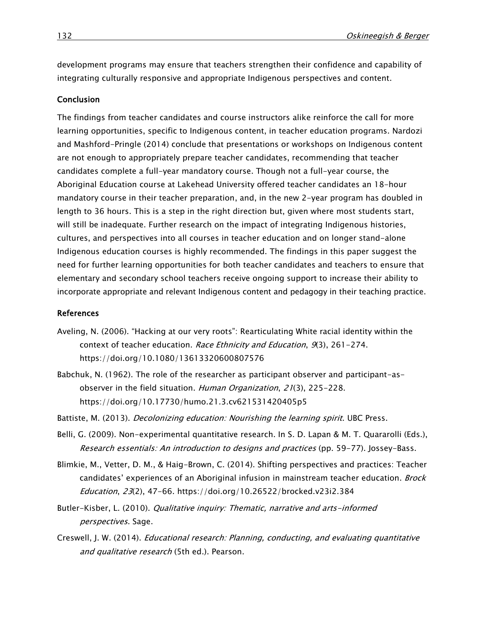development programs may ensure that teachers strengthen their confidence and capability of integrating culturally responsive and appropriate Indigenous perspectives and content.

#### Conclusion

The findings from teacher candidates and course instructors alike reinforce the call for more learning opportunities, specific to Indigenous content, in teacher education programs. Nardozi and Mashford-Pringle (2014) conclude that presentations or workshops on Indigenous content are not enough to appropriately prepare teacher candidates, recommending that teacher candidates complete a full-year mandatory course. Though not a full-year course, the Aboriginal Education course at Lakehead University offered teacher candidates an 18-hour mandatory course in their teacher preparation, and, in the new 2-year program has doubled in length to 36 hours. This is a step in the right direction but, given where most students start, will still be inadequate. Further research on the impact of integrating Indigenous histories, cultures, and perspectives into all courses in teacher education and on longer stand-alone Indigenous education courses is highly recommended. The findings in this paper suggest the need for further learning opportunities for both teacher candidates and teachers to ensure that elementary and secondary school teachers receive ongoing support to increase their ability to incorporate appropriate and relevant Indigenous content and pedagogy in their teaching practice.

#### References

- Aveling, N. (2006). "Hacking at our very roots": Rearticulating White racial identity within the context of teacher education. Race Ethnicity and Education, 9(3), 261-274. <https://doi.org/10.1080/13613320600807576>
- Babchuk, N. (1962). The role of the researcher as participant observer and participant-asobserver in the field situation. Human Organization, 21(3), 225-228. <https://doi.org/10.17730/humo.21.3.cv621531420405p5>
- Battiste, M. (2013). Decolonizing education: Nourishing the learning spirit. UBC Press.
- Belli, G. (2009). Non-experimental quantitative research. In S. D. Lapan & M. T. Quararolli (Eds.), Research essentials: An introduction to designs and practices (pp. 59-77). Jossey-Bass.
- Blimkie, M., Vetter, D. M., & Haig-Brown, C. (2014). Shifting perspectives and practices: Teacher candidates' experiences of an Aboriginal infusion in mainstream teacher education. *Brock* Education, 23(2), 47-66.<https://doi.org/10.26522/brocked.v23i2.384>
- Butler-Kisber, L. (2010). *Qualitative inquiry: Thematic, narrative and arts-informed* perspectives. Sage.
- Creswell, J. W. (2014). Educational research: Planning, conducting, and evaluating quantitative and qualitative research (5th ed.). Pearson.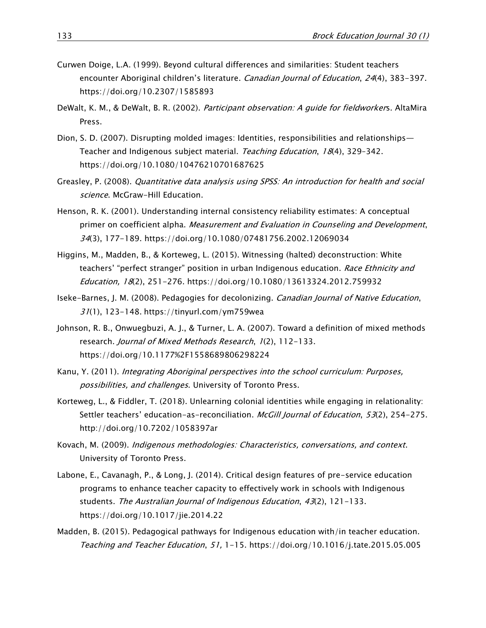- Curwen Doige, L.A. (1999). Beyond cultural differences and similarities: Student teachers encounter Aboriginal children's literature. Canadian Journal of Education, 24(4), 383-397. <https://doi.org/10.2307/1585893>
- DeWalt, K. M., & DeWalt, B. R. (2002). Participant observation: A quide for fieldworkers. AltaMira Press.
- Dion, S. D. (2007). Disrupting molded images: Identities, responsibilities and relationships— Teacher and Indigenous subject material. Teaching Education, 18(4), 329-342. <https://doi.org/10.1080/10476210701687625>
- Greasley, P. (2008). Quantitative data analysis using SPSS: An introduction for health and social science. McGraw-Hill Education.
- Henson, R. K. (2001). Understanding internal consistency reliability estimates: A conceptual primer on coefficient alpha. Measurement and Evaluation in Counseling and Development, 34(3), 177-189.<https://doi.org/10.1080/07481756.2002.12069034>
- Higgins, M., Madden, B., & Korteweg, L. (2015). Witnessing (halted) deconstruction: White teachers' "perfect stranger" position in urban Indigenous education. Race Ethnicity and Education, 18(2), 251-276.<https://doi.org/10.1080/13613324.2012.759932>
- Iseke-Barnes, J. M. (2008). Pedagogies for decolonizing. Canadian Journal of Native Education, 31(1), 123-148. <https://tinyurl.com/ym759wea>
- Johnson, R. B., Onwuegbuzi, A. J., & Turner, L. A. (2007). Toward a definition of mixed methods research. Journal of Mixed Methods Research, 1(2), 112-133. <https://doi.org/10.1177%2F1558689806298224>
- Kanu, Y. (2011). Integrating Aboriginal perspectives into the school curriculum: Purposes, possibilities, and challenges. University of Toronto Press.
- Korteweg, L., & Fiddler, T. (2018). Unlearning colonial identities while engaging in relationality: Settler teachers' education-as-reconciliation. McGill Journal of Education, 53(2), 254-275. <http://doi.org/10.7202/1058397ar>
- Kovach, M. (2009). Indigenous methodologies: Characteristics, conversations, and context. University of Toronto Press.
- Labone, E., Cavanagh, P., & Long, J. (2014). Critical design features of pre-service education programs to enhance teacher capacity to effectively work in schools with Indigenous students. The Australian Journal of Indigenous Education, 43(2), 121-133. <https://doi.org/10.1017/jie.2014.22>
- Madden, B. (2015). Pedagogical pathways for Indigenous education with/in teacher education. Teaching and Teacher Education, 51, 1-15.<https://doi.org/10.1016/j.tate.2015.05.005>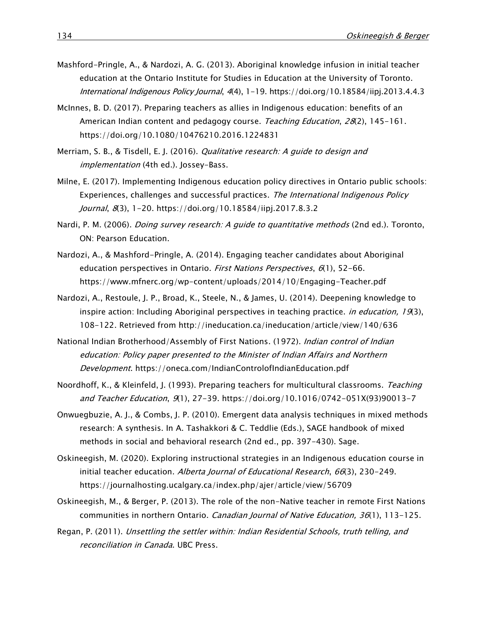- Mashford-Pringle, A., & Nardozi, A. G. (2013). Aboriginal knowledge infusion in initial teacher education at the Ontario Institute for Studies in Education at the University of Toronto. International Indigenous Policy Journal, 4(4), 1-19.<https://doi.org/10.18584/iipj.2013.4.4.3>
- McInnes, B. D. (2017). Preparing teachers as allies in Indigenous education: benefits of an American Indian content and pedagogy course. Teaching Education, 28(2), 145-161. <https://doi.org/10.1080/10476210.2016.1224831>
- Merriam, S. B., & Tisdell, E. J. (2016). Qualitative research: A guide to design and implementation (4th ed.). Jossey-Bass.
- Milne, E. (2017). Implementing Indigenous education policy directives in Ontario public schools: Experiences, challenges and successful practices. The International Indigenous Policy Journal, 8(3), 1-20.<https://doi.org/10.18584/iipj.2017.8.3.2>
- Nardi, P. M. (2006). *Doing survey research: A guide to quantitative methods* (2nd ed.). Toronto, ON: Pearson Education.
- Nardozi, A., & Mashford-Pringle, A. (2014). Engaging teacher candidates about Aboriginal education perspectives in Ontario. First Nations Perspectives, 6(1), 52-66. <https://www.mfnerc.org/wp-content/uploads/2014/10/Engaging-Teacher.pdf>
- Nardozi, A., Restoule, J. P., Broad, K., Steele, N., & James, U. (2014). Deepening knowledge to inspire action: Including Aboriginal perspectives in teaching practice. *in education, 19*(3), 108-122. Retrieved from http://ineducation.ca/ineducation/article/view/140/636
- National Indian Brotherhood/Assembly of First Nations. (1972). *Indian control of Indian* education: Policy paper presented to the Minister of Indian Affairs and Northern Development.<https://oneca.com/IndianControlofIndianEducation.pdf>
- Noordhoff, K., & Kleinfeld, J. (1993). Preparing teachers for multicultural classrooms. Teaching and Teacher Education, 9(1), 27-39. [https://doi.org/10.1016/0742-051X\(93\)90013-7](https://doi.org/10.1016/0742-051X(93)90013-7)
- Onwuegbuzie, A. J., & Combs, J. P. (2010). Emergent data analysis techniques in mixed methods research: A synthesis. In A. Tashakkori & C. Teddlie (Eds.), SAGE handbook of mixed methods in social and behavioral research (2nd ed., pp. 397-430). Sage.
- Oskineegish, M. (2020). Exploring instructional strategies in an Indigenous education course in initial teacher education. Alberta Journal of Educational Research, 66(3), 230-249. <https://journalhosting.ucalgary.ca/index.php/ajer/article/view/56709>
- Oskineegish, M., & Berger, P. (2013). The role of the non-Native teacher in remote First Nations communities in northern Ontario. Canadian Journal of Native Education, 36(1), 113-125.
- Regan, P. (2011). Unsettling the settler within: Indian Residential Schools, truth telling, and reconciliation in Canada. UBC Press.